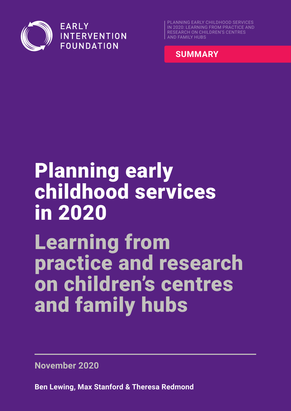

**EARLY INTERVENTION FOUNDATION** 

PLANNING EARLY CHILDHOOD SERVICES IN 2020: LEARNING FROM PRACTICE AND RESEARCH ON CHILDREN'S CENTRES AND FAMILY HUBS



# Planning early childhood services in 2020 Learning from practice and research on children's centres and family hubs

**November 2020**

**Ben Lewing, Max Stanford & Theresa Redmond**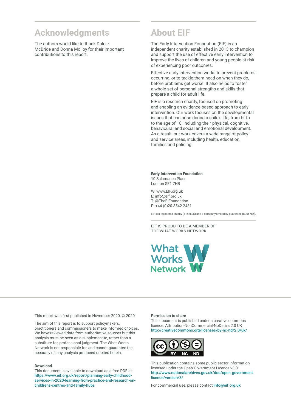### **Acknowledgments**

The authors would like to thank Dulcie McBride and Donna Molloy for their important contributions to this report.

### **About EIF**

The Early Intervention Foundation (EIF) is an independent charity established in 2013 to champion and support the use of effective early intervention to improve the lives of children and young people at risk of experiencing poor outcomes.

Effective early intervention works to prevent problems occurring, or to tackle them head-on when they do, before problems get worse. It also helps to foster a whole set of personal strengths and skills that prepare a child for adult life.

EIF is a research charity, focused on promoting and enabling an evidence-based approach to early intervention. Our work focuses on the developmental issues that can arise during a child's life, from birth to the age of 18, including their physical, cognitive, behavioural and social and emotional development. As a result, our work covers a wide range of policy and service areas, including health, education, families and policing.

#### **Early Intervention Foundation**  10 Salamanca Place

London SE1 7HB

W: [www.EIF.org.uk](http://www.EIF.org.uk) E: [info@eif.org.uk](mailto:info@eif.org.uk) T: [@TheEIFoundation](https://twitter.com/TheEIFoundation) P: +44 (0)20 3542 2481

EIF is a registered charity (1152605) and a company limited by guarantee (8066785).

EIF IS PROUD TO BE A MEMBER OF THE WHAT WORKS NETWORK



This report was first published in November 2020. © 2020

The aim of this report is to support policymakers, practitioners and commissioners to make informed choices. We have reviewed data from authoritative sources but this analysis must be seen as a supplement to, rather than a substitute for, professional judgment. The What Works Network is not responsible for, and cannot guarantee the accuracy of, any analysis produced or cited herein.

#### **Download**

This document is available to download as a free PDF at: [https://www.eif.org.uk/report/planning-early-childhood](https://www.eif.org.uk/report/planning-early-childhood-services-in-2020-learning-from-practice-and-research-on-childrens-centres-and-family-hubs)[services-in-2020-learning-from-practice-and-research-on](https://www.eif.org.uk/report/planning-early-childhood-services-in-2020-learning-from-practice-and-research-on-childrens-centres-and-family-hubs)[childrens-centres-and-family-hubs](https://www.eif.org.uk/report/planning-early-childhood-services-in-2020-learning-from-practice-and-research-on-childrens-centres-and-family-hubs)

#### **Permission to share**

This document is published under a creative commons licence: Attribution-NonCommercial-NoDerivs 2.0 UK <http://creativecommons.org/licenses/by-nc-nd/2.0/uk/>



This publication contains some public sector information licensed under the Open Government Licence v3.0: [http://www.nationalarchives.gov.uk/doc/open-government](http://www.nationalarchives.gov.uk/doc/open-government-licence/version/3/)[licence/version/3/](http://www.nationalarchives.gov.uk/doc/open-government-licence/version/3/)

For commercial use, please contact [info@eif.org.uk](mailto:info@eif.org.uk)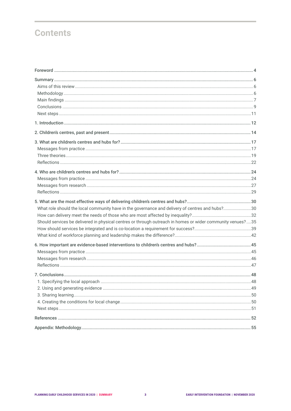# **Contents**

| What role should the local community have in the governance and delivery of centres and hubs?30<br>Should services be delivered in physical centres or through outreach in homes or wider community venues?35 |  |
|---------------------------------------------------------------------------------------------------------------------------------------------------------------------------------------------------------------|--|
|                                                                                                                                                                                                               |  |
|                                                                                                                                                                                                               |  |
|                                                                                                                                                                                                               |  |
|                                                                                                                                                                                                               |  |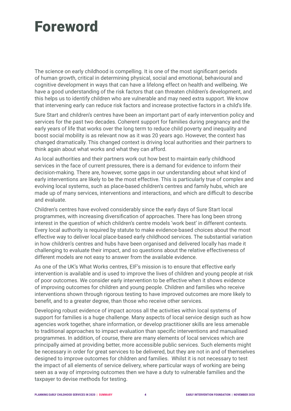# <span id="page-3-0"></span>Foreword

The science on early childhood is compelling. It is one of the most significant periods of human growth, critical in determining physical, social and emotional, behavioural and cognitive development in ways that can have a lifelong effect on health and wellbeing. We have a good understanding of the risk factors that can threaten children's development, and this helps us to identify children who are vulnerable and may need extra support. We know that intervening early can reduce risk factors and increase protective factors in a child's life.

Sure Start and children's centres have been an important part of early intervention policy and services for the past two decades. Coherent support for families during pregnancy and the early years of life that works over the long term to reduce child poverty and inequality and boost social mobility is as relevant now as it was 20 years ago. However, the context has changed dramatically. This changed context is driving local authorities and their partners to think again about what works and what they can afford.

As local authorities and their partners work out how best to maintain early childhood services in the face of current pressures, there is a demand for evidence to inform their decision-making. There are, however, some gaps in our understanding about what kind of early interventions are likely to be the most effective. This is particularly true of complex and evolving local systems, such as place-based children's centres and family hubs, which are made up of many services, interventions and interactions, and which are difficult to describe and evaluate.

Children's centres have evolved considerably since the early days of Sure Start local programmes, with increasing diversification of approaches. There has long been strong interest in the question of which children's centre models 'work best' in different contexts. Every local authority is required by statute to make evidence-based choices about the most effective way to deliver local place-based early childhood services. The substantial variation in how children's centres and hubs have been organised and delivered locally has made it challenging to evaluate their impact, and so questions about the relative effectiveness of different models are not easy to answer from the available evidence.

As one of the UK's What Works centres, EIF's mission is to ensure that effective early intervention is available and is used to improve the lives of children and young people at risk of poor outcomes. We consider early intervention to be effective when it shows evidence of improving outcomes for children and young people. Children and families who receive interventions shown through rigorous testing to have improved outcomes are more likely to benefit, and to a greater degree, than those who receive other services.

Developing robust evidence of impact across all the activities within local systems of support for families is a huge challenge. Many aspects of local service design such as how agencies work together, share information, or develop practitioner skills are less amenable to traditional approaches to impact evaluation than specific interventions and manualised programmes. In addition, of course, there are many elements of local services which are principally aimed at providing better, more accessible public services. Such elements might be necessary in order for great services to be delivered, but they are not in and of themselves designed to improve outcomes for children and families. Whilst it is not necessary to test the impact of all elements of service delivery, where particular ways of working are being seen as a way of improving outcomes then we have a duty to vulnerable families and the taxpayer to devise methods for testing.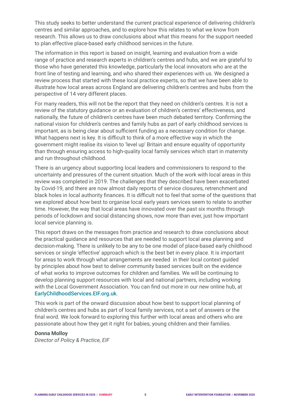This study seeks to better understand the current practical experience of delivering children's centres and similar approaches, and to explore how this relates to what we know from research. This allows us to draw conclusions about what this means for the support needed to plan effective place-based early childhood services in the future.

The information in this report is based on insight, learning and evaluation from a wide range of practice and research experts in children's centres and hubs, and we are grateful to those who have generated this knowledge, particularly the local innovators who are at the front line of testing and learning, and who shared their experiences with us. We designed a review process that started with these local practice experts, so that we have been able to illustrate how local areas across England are delivering children's centres and hubs from the perspective of 14 very different places.

For many readers, this will not be the report that they need on children's centres. It is not a review of the statutory guidance or an evaluation of children's centres' effectiveness, and nationally, the future of children's centres have been much debated territory. Confirming the national vision for children's centres and family hubs as part of early childhood services is important, as is being clear about sufficient funding as a necessary condition for change. What happens next is key. It is difficult to think of a more effective way in which the government might realise its vision to 'level up' Britain and ensure equality of opportunity than through ensuring access to high-quality local family services which start in maternity and run throughout childhood.

There is an urgency about supporting local leaders and commissioners to respond to the uncertainty and pressures of the current situation. Much of the work with local areas in this review was completed in 2019. The challenges that they described have been exacerbated by Covid-19, and there are now almost daily reports of service closures, retrenchment and black holes in local authority finances. It is difficult not to feel that some of the questions that we explored about how best to organise local early years services seem to relate to another time. However, the way that local areas have innovated over the past six months through periods of lockdown and social distancing shows, now more than ever, just how important local service planning is.

This report draws on the messages from practice and research to draw conclusions about the practical guidance and resources that are needed to support local area planning and decision-making. There is unlikely to be any to be one model of place-based early childhood services or single 'effective' approach which is the best bet in every place. It is important for areas to work through what arrangements are needed in their local context guided by principles about how best to deliver community based services built on the evidence of what works to improve outcomes for children and families. We will be continuing to develop planning support resources with local and national partners, including working with the Local Government Association. You can find out more in our new online hub, at [EarlyChildhoodServices.EIF.org.uk](https://EarlyChildhoodServices.EIF.org.uk).

This work is part of the onward discussion about how best to support local planning of children's centres and hubs as part of local family services, not a set of answers or the final word. We look forward to exploring this further with local areas and others who are passionate about how they get it right for babies, young children and their families.

#### **Donna Molloy**

*Director of Policy & Practice, EIF*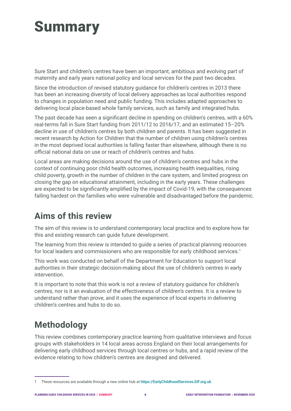# <span id="page-5-0"></span>**Summary**

Sure Start and children's centres have been an important, ambitious and evolving part of maternity and early years national policy and local services for the past two decades.

Since the introduction of revised statutory guidance for children's centres in 2013 there has been an increasing diversity of local delivery approaches as local authorities respond to changes in population need and public funding. This includes adapted approaches to delivering local place-based whole family services, such as family and integrated hubs.

The past decade has seen a significant decline in spending on children's centres, with a 60% real-terms fall in Sure Start funding from 2011/12 to 2016/17, and an estimated 15–20% decline in use of children's centres by both children and parents. It has been suggested in recent research by Action for Children that the number of children using children's centres in the most deprived local authorities is falling faster than elsewhere, although there is no official national data on use or reach of children's centres and hubs.

Local areas are making decisions around the use of children's centres and hubs in the context of continuing poor child health outcomes, increasing health inequalities, rising child poverty, growth in the number of children in the care system, and limited progress on closing the gap on educational attainment, including in the early years. These challenges are expected to be significantly amplified by the impact of Covid-19, with the consequences falling hardest on the families who were vulnerable and disadvantaged before the pandemic.

# **Aims of this review**

The aim of this review is to understand contemporary local practice and to explore how far this and existing research can guide future development.

The learning from this review is intended to guide a series of practical planning resources for local leaders and commissioners who are responsible for early childhood services.<sup>1</sup>

This work was conducted on behalf of the Department for Education to support local authorities in their strategic decision-making about the use of children's centres in early intervention.

It is important to note that this work is not a review of statutory guidance for children's centres, nor is it an evaluation of the effectiveness of children's centres. It is a review to understand rather than prove, and it uses the experience of local experts in delivering children's centres and hubs to do so.

# **Methodology**

This review combines contemporary practice learning from qualitative interviews and focus groups with stakeholders in 14 local areas across England on their local arrangements for delivering early childhood services through local centres or hubs, and a rapid review of the evidence relating to how children's centres are designed and delivered.

<sup>1</sup> These resources are available through a new online hub at <https://EarlyChildhoodServices.EIF.org.uk>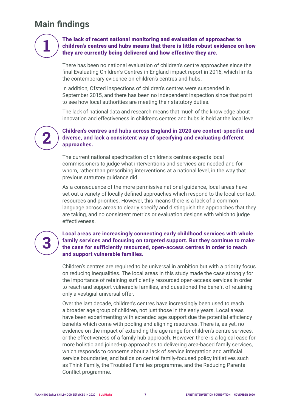# <span id="page-6-0"></span>**Main findings**

#### The lack of recent national monitoring and evaluation of approaches to children's centres and hubs means that there is little robust evidence on how they are currently being delivered and how effective they are.

There has been no national evaluation of children's centre approaches since the final Evaluating Children's Centres in England impact report in 2016, which limits the contemporary evidence on children's centres and hubs.

In addition, Ofsted inspections of children's centres were suspended in September 2015, and there has been no independent inspection since that point to see how local authorities are meeting their statutory duties.

The lack of national data and research means that much of the knowledge about innovation and effectiveness in children's centres and hubs is held at the local level.

# **2**

**1**

#### **Children's centres and hubs across England in 2020 are context-specific and diverse, and lack a consistent way of specifying and evaluating different approaches.**

The current national specification of children's centres expects local commissioners to judge what interventions and services are needed and for whom, rather than prescribing interventions at a national level, in the way that previous statutory guidance did.

As a consequence of the more permissive national guidance, local areas have set out a variety of locally defined approaches which respond to the local context, resources and priorities. However, this means there is a lack of a common language across areas to clearly specify and distinguish the approaches that they are taking, and no consistent metrics or evaluation designs with which to judge effectiveness.

# **3**

#### **Local areas are increasingly connecting early childhood services with whole family services and focusing on targeted support. But they continue to make the case for sufficiently resourced, open-access centres in order to reach and support vulnerable families.**

Children's centres are required to be universal in ambition but with a priority focus on reducing inequalities. The local areas in this study made the case strongly for the importance of retaining sufficiently resourced open-access services in order to reach and support vulnerable families, and questioned the benefit of retaining only a vestigial universal offer.

Over the last decade, children's centres have increasingly been used to reach a broader age group of children, not just those in the early years. Local areas have been experimenting with extended age support due the potential efficiency benefits which come with pooling and aligning resources. There is, as yet, no evidence on the impact of extending the age range for children's centre services, or the effectiveness of a family hub approach. However, there is a logical case for more holistic and joined-up approaches to delivering area-based family services, which responds to concerns about a lack of service integration and artificial service boundaries, and builds on central family-focused policy initiatives such as Think Family, the Troubled Families programme, and the Reducing Parental Conflict programme.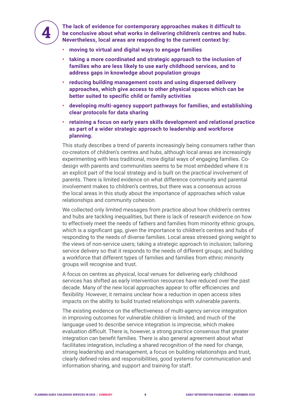

**The lack of evidence for contemporary approaches makes it difficult to be conclusive about what works in delivering children's centres and hubs. Nevertheless, local areas are responding to the current context by:**

- **• moving to virtual and digital ways to engage families**
- **• taking a more coordinated and strategic approach to the inclusion of families who are less likely to use early childhood services, and to address gaps in knowledge about population groups**
- **• reducing building management costs and using dispersed delivery approaches, which give access to other physical spaces which can be better suited to specific child or family activities**
- **• developing multi-agency support pathways for families, and establishing clear protocols for data sharing**
- **• retaining a focus on early years skills development and relational practice as part of a wider strategic approach to leadership and workforce planning.**

This study describes a trend of parents increasingly being consumers rather than co-creators of children's centres and hubs, although local areas are increasingly experimenting with less traditional, more digital ways of engaging families. Codesign with parents and communities seems to be most embedded where it is an explicit part of the local strategy and is built on the practical involvement of parents. There is limited evidence on what difference community and parental involvement makes to children's centres, but there was a consensus across the local areas in this study about the importance of approaches which value relationships and community cohesion.

We collected only limited messages from practice about how children's centres and hubs are tackling inequalities, but there is lack of research evidence on how to effectively meet the needs of fathers and families from minority ethnic groups, which is a significant gap, given the importance to children's centres and hubs of responding to the needs of diverse families. Local areas stressed giving weight to the views of non-service users; taking a strategic approach to inclusion; tailoring service delivery so that it responds to the needs of different groups; and building a workforce that different types of families and families from ethnic minority groups will recognise and trust.

A focus on centres as physical, local venues for delivering early childhood services has shifted as early intervention resources have reduced over the past decade. Many of the new local approaches appear to offer efficiencies and flexibility. However, it remains unclear how a reduction in open access sites impacts on the ability to build trusted relationships with vulnerable parents.

The existing evidence on the effectiveness of multi-agency service integration in improving outcomes for vulnerable children is limited, and much of the language used to describe service integration is imprecise, which makes evaluation difficult. There is, however, a strong practice consensus that greater integration can benefit families. There is also general agreement about what facilitates integration, including a shared recognition of the need for change, strong leadership and management, a focus on building relationships and trust, clearly defined roles and responsibilities, good systems for communication and information sharing, and support and training for staff.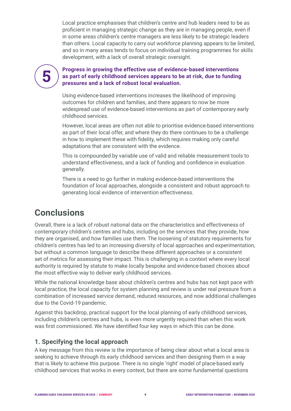<span id="page-8-0"></span>Local practice emphasises that children's centre and hub leaders need to be as proficient in managing strategic change as they are in managing people, even if in some areas children's centre managers are less likely to be strategic leaders than others. Local capacity to carry out workforce planning appears to be limited, and so in many areas tends to focus on individual training programmes for skills development, with a lack of overall strategic oversight.

**5**

#### **Progress in growing the effective use of evidence-based interventions as part of early childhood services appears to be at risk, due to funding pressures and a lack of robust local evaluation.**

Using evidence-based interventions increases the likelihood of improving outcomes for children and families, and there appears to now be more widespread use of evidence-based interventions as part of contemporary early childhood services.

However, local areas are often not able to prioritise evidence-based interventions as part of their local offer, and where they do there continues to be a challenge in how to implement these with fidelity, which requires making only careful adaptations that are consistent with the evidence.

This is compounded by variable use of valid and reliable measurement tools to understand effectiveness, and a lack of funding and confidence in evaluation generally.

There is a need to go further in making evidence-based interventions the foundation of local approaches, alongside a consistent and robust approach to generating local evidence of intervention effectiveness.

### **Conclusions**

Overall, there is a lack of robust national data on the characteristics and effectiveness of contemporary children's centres and hubs, including on the services that they provide, how they are organised, and how families use them. The loosening of statutory requirements for children's centres has led to an increasing diversity of local approaches and experimentation, but without a common language to describe these different approaches or a consistent set of metrics for assessing their impact. This is challenging in a context where every local authority is required by statute to make locally bespoke and evidence-based choices about the most effective way to deliver early childhood services.

While the national knowledge base about children's centres and hubs has not kept pace with local practice, the local capacity for system planning and review is under real pressure from a combination of increased service demand, reduced resources, and now additional challenges due to the Covid-19 pandemic.

Against this backdrop, practical support for the local planning of early childhood services, including children's centres and hubs, is even more urgently required than when this work was first commissioned. We have identified four key ways in which this can be done.

#### **1. Specifying the local approach**

A key message from this review is the importance of being clear about what a local area is seeking to achieve through its early childhood services and then designing them in a way that is likely to achieve this purpose. There is no single 'right' model of place-based early childhood services that works in every context, but there are some fundamental questions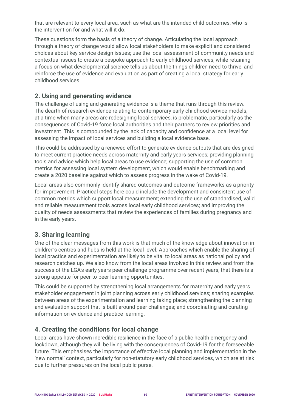that are relevant to every local area, such as what are the intended child outcomes, who is the intervention for and what will it do.

These questions form the basis of a theory of change. Articulating the local approach through a theory of change would allow local stakeholders to make explicit and considered choices about key service design issues; use the local assessment of community needs and contextual issues to create a bespoke approach to early childhood services, while retaining a focus on what developmental science tells us about the things children need to thrive; and reinforce the use of evidence and evaluation as part of creating a local strategy for early childhood services.

#### **2. Using and generating evidence**

The challenge of using and generating evidence is a theme that runs through this review. The dearth of research evidence relating to contemporary early childhood service models, at a time when many areas are redesigning local services, is problematic, particularly as the consequences of Covid-19 force local authorities and their partners to review priorities and investment. This is compounded by the lack of capacity and confidence at a local level for assessing the impact of local services and building a local evidence base.

This could be addressed by a renewed effort to generate evidence outputs that are designed to meet current practice needs across maternity and early years services; providing planning tools and advice which help local areas to use evidence; supporting the use of common metrics for assessing local system development, which would enable benchmarking and create a 2020 baseline against which to assess progress in the wake of Covid-19.

Local areas also commonly identify shared outcomes and outcome frameworks as a priority for improvement. Practical steps here could include the development and consistent use of common metrics which support local measurement; extending the use of standardised, valid and reliable measurement tools across local early childhood services; and improving the quality of needs assessments that review the experiences of families during pregnancy and in the early years.

#### **3. Sharing learning**

One of the clear messages from this work is that much of the knowledge about innovation in children's centres and hubs is held at the local level. Approaches which enable the sharing of local practice and experimentation are likely to be vital to local areas as national policy and research catches up. We also know from the local areas involved in this review, and from the success of the LGA's early years peer challenge programme over recent years, that there is a strong appetite for peer-to-peer learning opportunities.

This could be supported by strengthening local arrangements for maternity and early years stakeholder engagement in joint planning across early childhood services; sharing examples between areas of the experimentation and learning taking place; strengthening the planning and evaluation support that is built around peer challenges; and coordinating and curating information on evidence and practice learning.

#### **4. Creating the conditions for local change**

Local areas have shown incredible resilience in the face of a public health emergency and lockdown, although they will be living with the consequences of Covid-19 for the foreseeable future. This emphasises the importance of effective local planning and implementation in the 'new normal' context, particularly for non-statutory early childhood services, which are at risk due to further pressures on the local public purse.